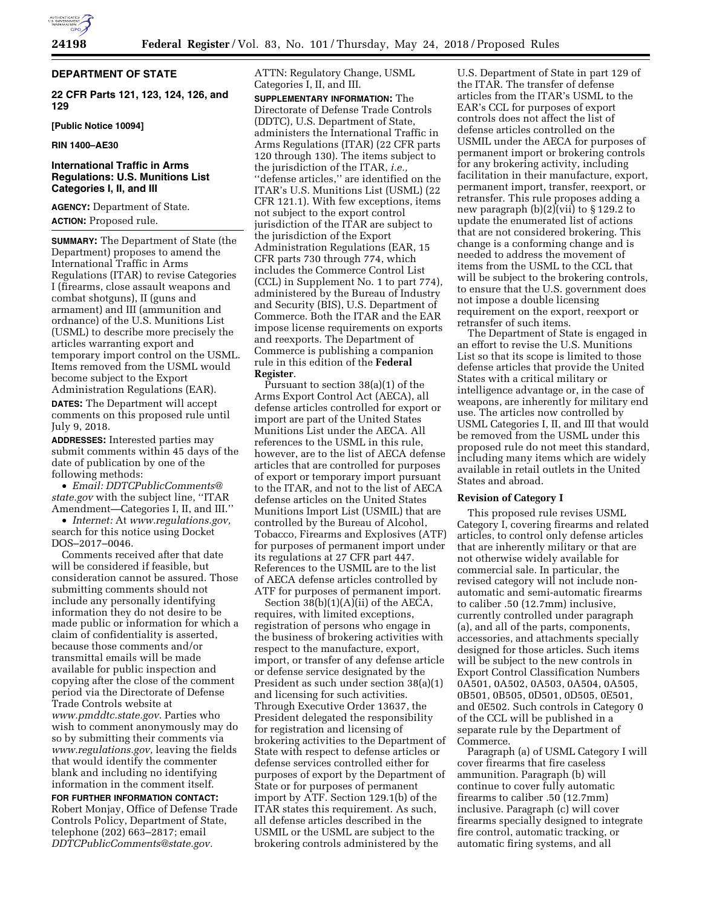

# **DEPARTMENT OF STATE**

**22 CFR Parts 121, 123, 124, 126, and 129** 

**[Public Notice 10094]** 

**RIN 1400–AE30** 

# **International Traffic in Arms Regulations: U.S. Munitions List Categories I, II, and III**

**AGENCY:** Department of State. **ACTION:** Proposed rule.

**SUMMARY:** The Department of State (the Department) proposes to amend the International Traffic in Arms Regulations (ITAR) to revise Categories I (firearms, close assault weapons and combat shotguns), II (guns and armament) and III (ammunition and ordnance) of the U.S. Munitions List (USML) to describe more precisely the articles warranting export and temporary import control on the USML. Items removed from the USML would become subject to the Export Administration Regulations (EAR).

**DATES:** The Department will accept comments on this proposed rule until July 9, 2018.

**ADDRESSES:** Interested parties may submit comments within 45 days of the date of publication by one of the following methods:

• *Email: [DDTCPublicComments@](mailto:DDTCPublicComments@state.gov) [state.gov](mailto:DDTCPublicComments@state.gov)* with the subject line, ''ITAR Amendment—Categories I, II, and III.''

• *Internet:* At *[www.regulations.gov,](http://www.regulations.gov)*  search for this notice using Docket DOS–2017–0046.

Comments received after that date will be considered if feasible, but consideration cannot be assured. Those submitting comments should not include any personally identifying information they do not desire to be made public or information for which a claim of confidentiality is asserted, because those comments and/or transmittal emails will be made available for public inspection and copying after the close of the comment period via the Directorate of Defense Trade Controls website at *[www.pmddtc.state.gov.](http://www.pmddtc.state.gov)* Parties who wish to comment anonymously may do so by submitting their comments via *[www.regulations.gov,](http://www.regulations.gov)* leaving the fields that would identify the commenter blank and including no identifying information in the comment itself.

**FOR FURTHER INFORMATION CONTACT:**  Robert Monjay, Office of Defense Trade Controls Policy, Department of State, telephone (202) 663–2817; email *[DDTCPublicComments@state.gov.](mailto:DDTCPublicComments@state.gov)* 

ATTN: Regulatory Change, USML Categories I, II, and III.

**SUPPLEMENTARY INFORMATION:** The Directorate of Defense Trade Controls (DDTC), U.S. Department of State, administers the International Traffic in Arms Regulations (ITAR) (22 CFR parts 120 through 130). The items subject to the jurisdiction of the ITAR, *i.e.,*  ''defense articles,'' are identified on the ITAR's U.S. Munitions List (USML) (22 CFR 121.1). With few exceptions, items not subject to the export control jurisdiction of the ITAR are subject to the jurisdiction of the Export Administration Regulations (EAR, 15 CFR parts 730 through 774, which includes the Commerce Control List (CCL) in Supplement No. 1 to part 774), administered by the Bureau of Industry and Security (BIS), U.S. Department of Commerce. Both the ITAR and the EAR impose license requirements on exports and reexports. The Department of Commerce is publishing a companion rule in this edition of the **Federal Register**.

Pursuant to section 38(a)(1) of the Arms Export Control Act (AECA), all defense articles controlled for export or import are part of the United States Munitions List under the AECA. All references to the USML in this rule, however, are to the list of AECA defense articles that are controlled for purposes of export or temporary import pursuant to the ITAR, and not to the list of AECA defense articles on the United States Munitions Import List (USMIL) that are controlled by the Bureau of Alcohol, Tobacco, Firearms and Explosives (ATF) for purposes of permanent import under its regulations at 27 CFR part 447. References to the USMIL are to the list of AECA defense articles controlled by ATF for purposes of permanent import.

Section 38(b)(1)(A)(ii) of the AECA, requires, with limited exceptions, registration of persons who engage in the business of brokering activities with respect to the manufacture, export, import, or transfer of any defense article or defense service designated by the President as such under section 38(a)(1) and licensing for such activities. Through Executive Order 13637, the President delegated the responsibility for registration and licensing of brokering activities to the Department of State with respect to defense articles or defense services controlled either for purposes of export by the Department of State or for purposes of permanent import by ATF. Section 129.1(b) of the ITAR states this requirement. As such, all defense articles described in the USMIL or the USML are subject to the brokering controls administered by the

U.S. Department of State in part 129 of the ITAR. The transfer of defense articles from the ITAR's USML to the EAR's CCL for purposes of export controls does not affect the list of defense articles controlled on the USMIL under the AECA for purposes of permanent import or brokering controls for any brokering activity, including facilitation in their manufacture, export, permanent import, transfer, reexport, or retransfer. This rule proposes adding a new paragraph  $(b)(2)(vii)$  to § 129.2 to update the enumerated list of actions that are not considered brokering. This change is a conforming change and is needed to address the movement of items from the USML to the CCL that will be subject to the brokering controls, to ensure that the U.S. government does not impose a double licensing requirement on the export, reexport or retransfer of such items.

The Department of State is engaged in an effort to revise the U.S. Munitions List so that its scope is limited to those defense articles that provide the United States with a critical military or intelligence advantage or, in the case of weapons, are inherently for military end use. The articles now controlled by USML Categories I, II, and III that would be removed from the USML under this proposed rule do not meet this standard, including many items which are widely available in retail outlets in the United States and abroad.

#### **Revision of Category I**

This proposed rule revises USML Category I, covering firearms and related articles, to control only defense articles that are inherently military or that are not otherwise widely available for commercial sale. In particular, the revised category will not include nonautomatic and semi-automatic firearms to caliber .50 (12.7mm) inclusive, currently controlled under paragraph (a), and all of the parts, components, accessories, and attachments specially designed for those articles. Such items will be subject to the new controls in Export Control Classification Numbers 0A501, 0A502, 0A503, 0A504, 0A505, 0B501, 0B505, 0D501, 0D505, 0E501, and 0E502. Such controls in Category 0 of the CCL will be published in a separate rule by the Department of Commerce.

Paragraph (a) of USML Category I will cover firearms that fire caseless ammunition. Paragraph (b) will continue to cover fully automatic firearms to caliber .50 (12.7mm) inclusive. Paragraph (c) will cover firearms specially designed to integrate fire control, automatic tracking, or automatic firing systems, and all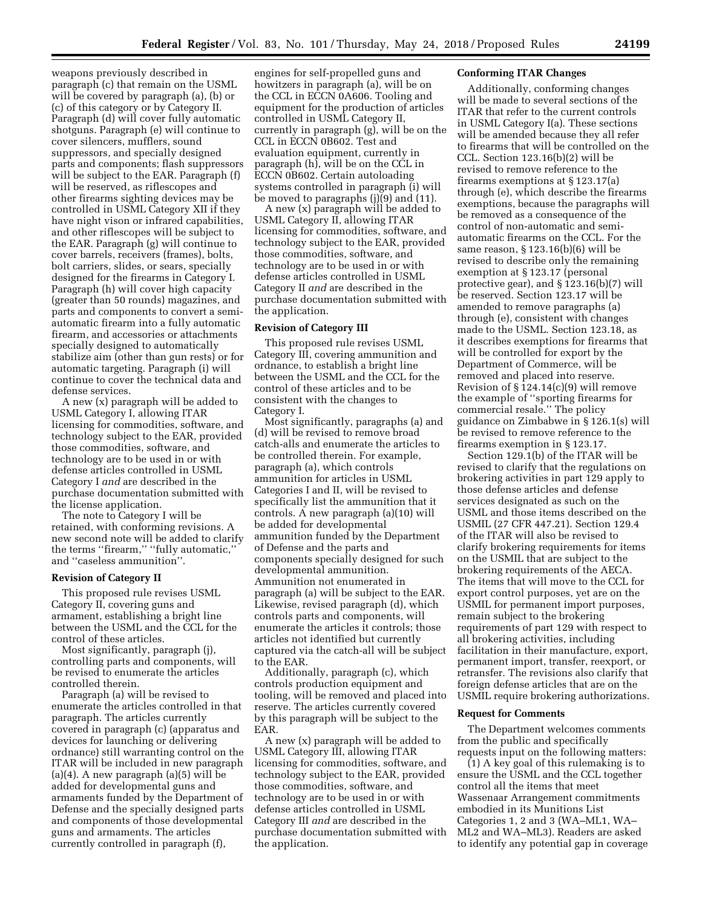weapons previously described in paragraph (c) that remain on the USML will be covered by paragraph (a), (b) or (c) of this category or by Category II. Paragraph (d) will cover fully automatic shotguns. Paragraph (e) will continue to cover silencers, mufflers, sound suppressors, and specially designed parts and components; flash suppressors will be subject to the EAR. Paragraph (f) will be reserved, as riflescopes and other firearms sighting devices may be controlled in USML Category XII if they have night vison or infrared capabilities, and other riflescopes will be subject to the EAR. Paragraph (g) will continue to cover barrels, receivers (frames), bolts, bolt carriers, slides, or sears, specially designed for the firearms in Category I. Paragraph (h) will cover high capacity (greater than 50 rounds) magazines, and parts and components to convert a semiautomatic firearm into a fully automatic firearm, and accessories or attachments specially designed to automatically stabilize aim (other than gun rests) or for automatic targeting. Paragraph (i) will continue to cover the technical data and defense services.

A new (x) paragraph will be added to USML Category I, allowing ITAR licensing for commodities, software, and technology subject to the EAR, provided those commodities, software, and technology are to be used in or with defense articles controlled in USML Category I *and* are described in the purchase documentation submitted with the license application.

The note to Category I will be retained, with conforming revisions. A new second note will be added to clarify the terms ''firearm,'' ''fully automatic,'' and ''caseless ammunition''.

#### **Revision of Category II**

This proposed rule revises USML Category II, covering guns and armament, establishing a bright line between the USML and the CCL for the control of these articles.

Most significantly, paragraph (j), controlling parts and components, will be revised to enumerate the articles controlled therein.

Paragraph (a) will be revised to enumerate the articles controlled in that paragraph. The articles currently covered in paragraph (c) (apparatus and devices for launching or delivering ordnance) still warranting control on the ITAR will be included in new paragraph  $(a)(4)$ . A new paragraph  $(a)(5)$  will be added for developmental guns and armaments funded by the Department of Defense and the specially designed parts and components of those developmental guns and armaments. The articles currently controlled in paragraph (f),

engines for self-propelled guns and howitzers in paragraph (a), will be on the CCL in ECCN 0A606. Tooling and equipment for the production of articles controlled in USML Category II, currently in paragraph (g), will be on the CCL in ECCN 0B602. Test and evaluation equipment, currently in paragraph (h), will be on the CCL in ECCN 0B602. Certain autoloading systems controlled in paragraph (i) will be moved to paragraphs (j)(9) and (11).

A new (x) paragraph will be added to USML Category II, allowing ITAR licensing for commodities, software, and technology subject to the EAR, provided those commodities, software, and technology are to be used in or with defense articles controlled in USML Category II *and* are described in the purchase documentation submitted with the application.

### **Revision of Category III**

This proposed rule revises USML Category III, covering ammunition and ordnance, to establish a bright line between the USML and the CCL for the control of these articles and to be consistent with the changes to Category I.

Most significantly, paragraphs (a) and (d) will be revised to remove broad catch-alls and enumerate the articles to be controlled therein. For example, paragraph (a), which controls ammunition for articles in USML Categories I and II, will be revised to specifically list the ammunition that it controls. A new paragraph (a)(10) will be added for developmental ammunition funded by the Department of Defense and the parts and components specially designed for such developmental ammunition. Ammunition not enumerated in paragraph (a) will be subject to the EAR. Likewise, revised paragraph (d), which controls parts and components, will enumerate the articles it controls; those articles not identified but currently captured via the catch-all will be subject to the EAR.

Additionally, paragraph (c), which controls production equipment and tooling, will be removed and placed into reserve. The articles currently covered by this paragraph will be subject to the EAR.

A new (x) paragraph will be added to USML Category III, allowing ITAR licensing for commodities, software, and technology subject to the EAR, provided those commodities, software, and technology are to be used in or with defense articles controlled in USML Category III *and* are described in the purchase documentation submitted with the application.

## **Conforming ITAR Changes**

Additionally, conforming changes will be made to several sections of the ITAR that refer to the current controls in USML Category I(a). These sections will be amended because they all refer to firearms that will be controlled on the CCL. Section 123.16(b)(2) will be revised to remove reference to the firearms exemptions at § 123.17(a) through (e), which describe the firearms exemptions, because the paragraphs will be removed as a consequence of the control of non-automatic and semiautomatic firearms on the CCL. For the same reason, § 123.16(b)(6) will be revised to describe only the remaining exemption at § 123.17 (personal protective gear), and § 123.16(b)(7) will be reserved. Section 123.17 will be amended to remove paragraphs (a) through (e), consistent with changes made to the USML. Section 123.18, as it describes exemptions for firearms that will be controlled for export by the Department of Commerce, will be removed and placed into reserve. Revision of § 124.14(c)(9) will remove the example of ''sporting firearms for commercial resale.'' The policy guidance on Zimbabwe in § 126.1(s) will be revised to remove reference to the firearms exemption in § 123.17.

Section 129.1(b) of the ITAR will be revised to clarify that the regulations on brokering activities in part 129 apply to those defense articles and defense services designated as such on the USML and those items described on the USMIL (27 CFR 447.21). Section 129.4 of the ITAR will also be revised to clarify brokering requirements for items on the USMIL that are subject to the brokering requirements of the AECA. The items that will move to the CCL for export control purposes, yet are on the USMIL for permanent import purposes, remain subject to the brokering requirements of part 129 with respect to all brokering activities, including facilitation in their manufacture, export, permanent import, transfer, reexport, or retransfer. The revisions also clarify that foreign defense articles that are on the USMIL require brokering authorizations.

#### **Request for Comments**

The Department welcomes comments from the public and specifically requests input on the following matters:

(1) A key goal of this rulemaking is to ensure the USML and the CCL together control all the items that meet Wassenaar Arrangement commitments embodied in its Munitions List Categories 1, 2 and 3 (WA–ML1, WA– ML2 and WA–ML3). Readers are asked to identify any potential gap in coverage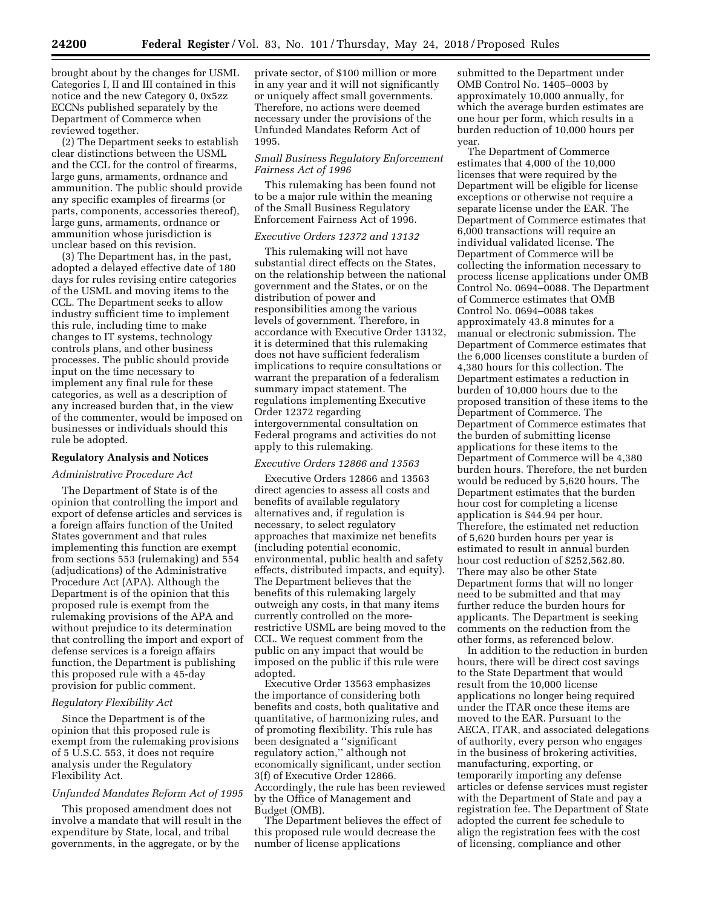brought about by the changes for USML Categories I, II and III contained in this notice and the new Category 0, 0x5zz ECCNs published separately by the Department of Commerce when reviewed together.

(2) The Department seeks to establish clear distinctions between the USML and the CCL for the control of firearms, large guns, armaments, ordnance and ammunition. The public should provide any specific examples of firearms (or parts, components, accessories thereof), large guns, armaments, ordnance or ammunition whose jurisdiction is unclear based on this revision.

(3) The Department has, in the past, adopted a delayed effective date of 180 days for rules revising entire categories of the USML and moving items to the CCL. The Department seeks to allow industry sufficient time to implement this rule, including time to make changes to IT systems, technology controls plans, and other business processes. The public should provide input on the time necessary to implement any final rule for these categories, as well as a description of any increased burden that, in the view of the commenter, would be imposed on businesses or individuals should this rule be adopted.

## **Regulatory Analysis and Notices**

### *Administrative Procedure Act*

The Department of State is of the opinion that controlling the import and export of defense articles and services is a foreign affairs function of the United States government and that rules implementing this function are exempt from sections 553 (rulemaking) and 554 (adjudications) of the Administrative Procedure Act (APA). Although the Department is of the opinion that this proposed rule is exempt from the rulemaking provisions of the APA and without prejudice to its determination that controlling the import and export of defense services is a foreign affairs function, the Department is publishing this proposed rule with a 45-day provision for public comment.

#### *Regulatory Flexibility Act*

Since the Department is of the opinion that this proposed rule is exempt from the rulemaking provisions of 5 U.S.C. 553, it does not require analysis under the Regulatory Flexibility Act.

### *Unfunded Mandates Reform Act of 1995*

This proposed amendment does not involve a mandate that will result in the expenditure by State, local, and tribal governments, in the aggregate, or by the

private sector, of \$100 million or more in any year and it will not significantly or uniquely affect small governments. Therefore, no actions were deemed necessary under the provisions of the Unfunded Mandates Reform Act of 1995.

### *Small Business Regulatory Enforcement Fairness Act of 1996*

This rulemaking has been found not to be a major rule within the meaning of the Small Business Regulatory Enforcement Fairness Act of 1996.

#### *Executive Orders 12372 and 13132*

This rulemaking will not have substantial direct effects on the States, on the relationship between the national government and the States, or on the distribution of power and responsibilities among the various levels of government. Therefore, in accordance with Executive Order 13132, it is determined that this rulemaking does not have sufficient federalism implications to require consultations or warrant the preparation of a federalism summary impact statement. The regulations implementing Executive Order 12372 regarding intergovernmental consultation on Federal programs and activities do not apply to this rulemaking.

### *Executive Orders 12866 and 13563*

Executive Orders 12866 and 13563 direct agencies to assess all costs and benefits of available regulatory alternatives and, if regulation is necessary, to select regulatory approaches that maximize net benefits (including potential economic, environmental, public health and safety effects, distributed impacts, and equity). The Department believes that the benefits of this rulemaking largely outweigh any costs, in that many items currently controlled on the morerestrictive USML are being moved to the CCL. We request comment from the public on any impact that would be imposed on the public if this rule were adopted.

Executive Order 13563 emphasizes the importance of considering both benefits and costs, both qualitative and quantitative, of harmonizing rules, and of promoting flexibility. This rule has been designated a ''significant regulatory action,'' although not economically significant, under section 3(f) of Executive Order 12866. Accordingly, the rule has been reviewed by the Office of Management and Budget (OMB).

The Department believes the effect of this proposed rule would decrease the number of license applications

submitted to the Department under OMB Control No. 1405–0003 by approximately 10,000 annually, for which the average burden estimates are one hour per form, which results in a burden reduction of 10,000 hours per year.

The Department of Commerce estimates that 4,000 of the 10,000 licenses that were required by the Department will be eligible for license exceptions or otherwise not require a separate license under the EAR. The Department of Commerce estimates that 6,000 transactions will require an individual validated license. The Department of Commerce will be collecting the information necessary to process license applications under OMB Control No. 0694–0088. The Department of Commerce estimates that OMB Control No. 0694–0088 takes approximately 43.8 minutes for a manual or electronic submission. The Department of Commerce estimates that the 6,000 licenses constitute a burden of 4,380 hours for this collection. The Department estimates a reduction in burden of 10,000 hours due to the proposed transition of these items to the Department of Commerce. The Department of Commerce estimates that the burden of submitting license applications for these items to the Department of Commerce will be 4,380 burden hours. Therefore, the net burden would be reduced by 5,620 hours. The Department estimates that the burden hour cost for completing a license application is \$44.94 per hour. Therefore, the estimated net reduction of 5,620 burden hours per year is estimated to result in annual burden hour cost reduction of \$252,562.80. There may also be other State Department forms that will no longer need to be submitted and that may further reduce the burden hours for applicants. The Department is seeking comments on the reduction from the other forms, as referenced below.

In addition to the reduction in burden hours, there will be direct cost savings to the State Department that would result from the 10,000 license applications no longer being required under the ITAR once these items are moved to the EAR. Pursuant to the AECA, ITAR, and associated delegations of authority, every person who engages in the business of brokering activities, manufacturing, exporting, or temporarily importing any defense articles or defense services must register with the Department of State and pay a registration fee. The Department of State adopted the current fee schedule to align the registration fees with the cost of licensing, compliance and other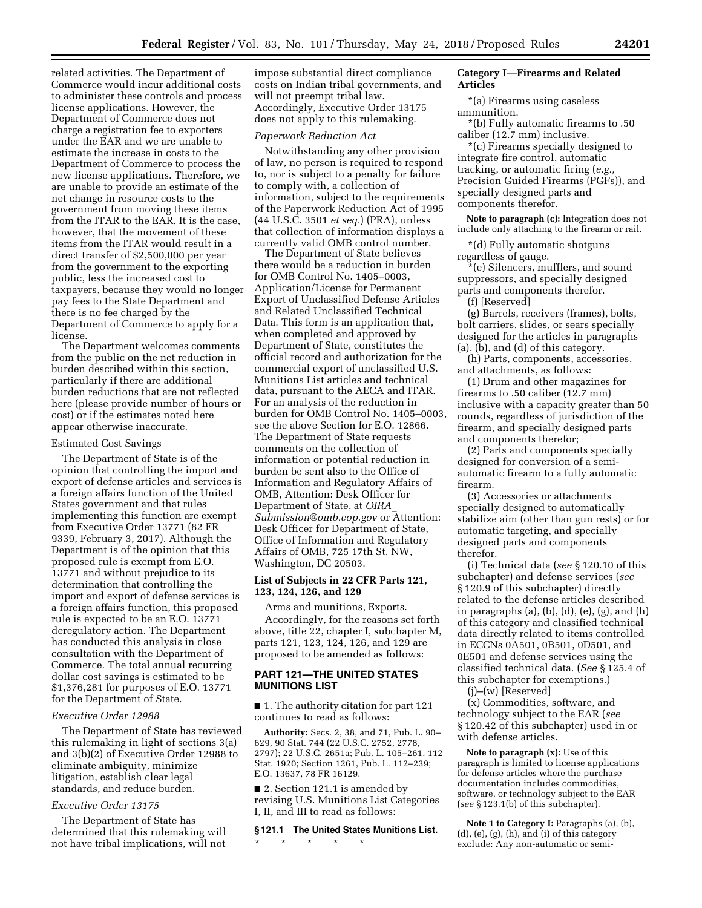related activities. The Department of Commerce would incur additional costs to administer these controls and process license applications. However, the Department of Commerce does not charge a registration fee to exporters under the EAR and we are unable to estimate the increase in costs to the Department of Commerce to process the new license applications. Therefore, we are unable to provide an estimate of the net change in resource costs to the government from moving these items from the ITAR to the EAR. It is the case, however, that the movement of these items from the ITAR would result in a direct transfer of \$2,500,000 per year from the government to the exporting public, less the increased cost to taxpayers, because they would no longer pay fees to the State Department and there is no fee charged by the Department of Commerce to apply for a license.

The Department welcomes comments from the public on the net reduction in burden described within this section, particularly if there are additional burden reductions that are not reflected here (please provide number of hours or cost) or if the estimates noted here appear otherwise inaccurate.

#### Estimated Cost Savings

The Department of State is of the opinion that controlling the import and export of defense articles and services is a foreign affairs function of the United States government and that rules implementing this function are exempt from Executive Order 13771 (82 FR 9339, February 3, 2017). Although the Department is of the opinion that this proposed rule is exempt from E.O. 13771 and without prejudice to its determination that controlling the import and export of defense services is a foreign affairs function, this proposed rule is expected to be an E.O. 13771 deregulatory action. The Department has conducted this analysis in close consultation with the Department of Commerce. The total annual recurring dollar cost savings is estimated to be \$1,376,281 for purposes of E.O. 13771 for the Department of State.

#### *Executive Order 12988*

The Department of State has reviewed this rulemaking in light of sections 3(a) and 3(b)(2) of Executive Order 12988 to eliminate ambiguity, minimize litigation, establish clear legal standards, and reduce burden.

### *Executive Order 13175*

The Department of State has determined that this rulemaking will not have tribal implications, will not

impose substantial direct compliance costs on Indian tribal governments, and will not preempt tribal law. Accordingly, Executive Order 13175 does not apply to this rulemaking.

#### *Paperwork Reduction Act*

Notwithstanding any other provision of law, no person is required to respond to, nor is subject to a penalty for failure to comply with, a collection of information, subject to the requirements of the Paperwork Reduction Act of 1995 (44 U.S.C. 3501 *et seq.*) (PRA), unless that collection of information displays a currently valid OMB control number.

The Department of State believes there would be a reduction in burden for OMB Control No. 1405–0003, Application/License for Permanent Export of Unclassified Defense Articles and Related Unclassified Technical Data. This form is an application that, when completed and approved by Department of State, constitutes the official record and authorization for the commercial export of unclassified U.S. Munitions List articles and technical data, pursuant to the AECA and ITAR. For an analysis of the reduction in burden for OMB Control No. 1405–0003, see the above Section for E.O. 12866. The Department of State requests comments on the collection of information or potential reduction in burden be sent also to the Office of Information and Regulatory Affairs of OMB, Attention: Desk Officer for Department of State, at *[OIRA](mailto:OIRA_Submission@omb.eop.gov)*\_ *[Submission@omb.eop.gov](mailto:OIRA_Submission@omb.eop.gov)* or Attention: Desk Officer for Department of State, Office of Information and Regulatory Affairs of OMB, 725 17th St. NW, Washington, DC 20503.

### **List of Subjects in 22 CFR Parts 121, 123, 124, 126, and 129**

Arms and munitions, Exports. Accordingly, for the reasons set forth above, title 22, chapter I, subchapter M, parts 121, 123, 124, 126, and 129 are proposed to be amended as follows:

# **PART 121—THE UNITED STATES MUNITIONS LIST**

■ 1. The authority citation for part 121 continues to read as follows:

**Authority:** Secs. 2, 38, and 71, Pub. L. 90– 629, 90 Stat. 744 (22 U.S.C. 2752, 2778, 2797); 22 U.S.C. 2651a; Pub. L. 105–261, 112 Stat. 1920; Section 1261, Pub. L. 112–239; E.O. 13637, 78 FR 16129.

■ 2. Section 121.1 is amended by revising U.S. Munitions List Categories I, II, and III to read as follows:

### **§ 121.1 The United States Munitions List.**

\* \* \* \* \*

### **Category I—Firearms and Related Articles**

\*(a) Firearms using caseless ammunition.

\*(b) Fully automatic firearms to .50 caliber (12.7 mm) inclusive.

\*(c) Firearms specially designed to integrate fire control, automatic tracking, or automatic firing (*e.g.,*  Precision Guided Firearms (PGFs)), and specially designed parts and components therefor.

**Note to paragraph (c):** Integration does not include only attaching to the firearm or rail.

\*(d) Fully automatic shotguns regardless of gauge.

\*(e) Silencers, mufflers, and sound suppressors, and specially designed parts and components therefor.

(f) [Reserved]

(g) Barrels, receivers (frames), bolts, bolt carriers, slides, or sears specially designed for the articles in paragraphs (a), (b), and (d) of this category.

(h) Parts, components, accessories, and attachments, as follows:

(1) Drum and other magazines for firearms to .50 caliber (12.7 mm) inclusive with a capacity greater than 50 rounds, regardless of jurisdiction of the firearm, and specially designed parts and components therefor;

(2) Parts and components specially designed for conversion of a semiautomatic firearm to a fully automatic firearm.

(3) Accessories or attachments specially designed to automatically stabilize aim (other than gun rests) or for automatic targeting, and specially designed parts and components therefor.

(i) Technical data (*see* § 120.10 of this subchapter) and defense services (*see*  § 120.9 of this subchapter) directly related to the defense articles described in paragraphs  $(a)$ ,  $(b)$ ,  $(d)$ ,  $(e)$ ,  $(g)$ , and  $(h)$ of this category and classified technical data directly related to items controlled in ECCNs 0A501, 0B501, 0D501, and 0E501 and defense services using the classified technical data. (*See* § 125.4 of this subchapter for exemptions.)

(j)–(w) [Reserved]

(x) Commodities, software, and technology subject to the EAR (*see*  § 120.42 of this subchapter) used in or with defense articles.

**Note to paragraph (x):** Use of this paragraph is limited to license applications for defense articles where the purchase documentation includes commodities, software, or technology subject to the EAR (*see* § 123.1(b) of this subchapter).

**Note 1 to Category I:** Paragraphs (a), (b), (d), (e), (g), (h), and (i) of this category exclude: Any non-automatic or semi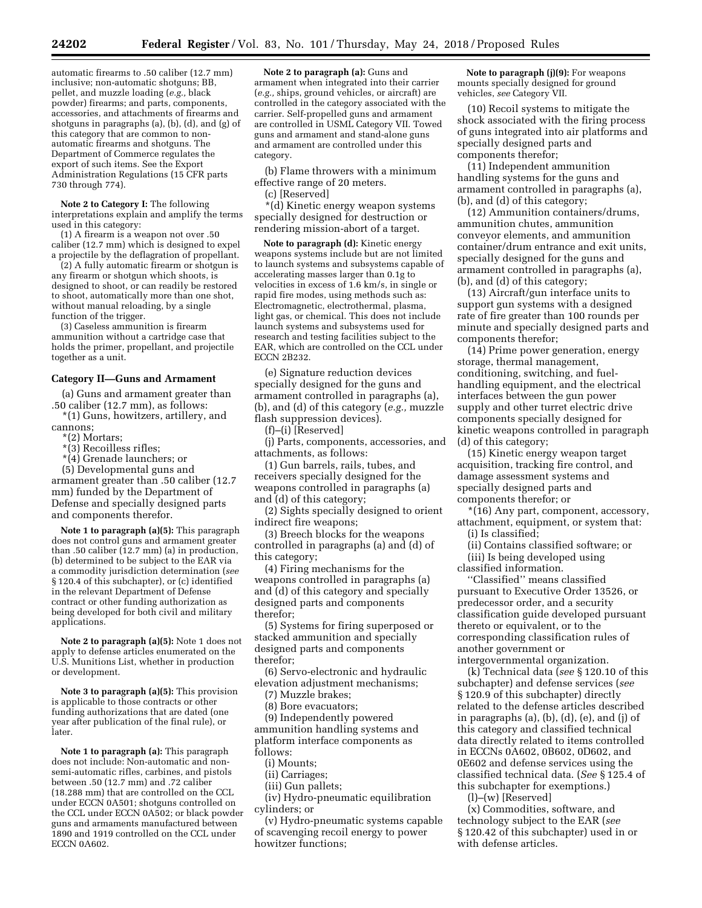automatic firearms to .50 caliber (12.7 mm) inclusive; non-automatic shotguns; BB, pellet, and muzzle loading (*e.g.,* black powder) firearms; and parts, components, accessories, and attachments of firearms and shotguns in paragraphs (a), (b), (d), and (g) of this category that are common to nonautomatic firearms and shotguns. The Department of Commerce regulates the export of such items. See the Export Administration Regulations (15 CFR parts 730 through 774).

**Note 2 to Category I:** The following interpretations explain and amplify the terms used in this category:

(1) A firearm is a weapon not over .50 caliber (12.7 mm) which is designed to expel a projectile by the deflagration of propellant.

(2) A fully automatic firearm or shotgun is any firearm or shotgun which shoots, is designed to shoot, or can readily be restored to shoot, automatically more than one shot, without manual reloading, by a single function of the trigger.

(3) Caseless ammunition is firearm ammunition without a cartridge case that holds the primer, propellant, and projectile together as a unit.

#### **Category II—Guns and Armament**

(a) Guns and armament greater than .50 caliber (12.7 mm), as follows:

\*(1) Guns, howitzers, artillery, and cannons;

- \*(2) Mortars;
- \*(3) Recoilless rifles;

\*(4) Grenade launchers; or

(5) Developmental guns and

armament greater than .50 caliber (12.7 mm) funded by the Department of Defense and specially designed parts and components therefor.

**Note 1 to paragraph (a)(5):** This paragraph does not control guns and armament greater than .50 caliber  $(12.7 \text{ mm})$  (a) in production, (b) determined to be subject to the EAR via a commodity jurisdiction determination (*see*  § 120.4 of this subchapter), or (c) identified in the relevant Department of Defense contract or other funding authorization as being developed for both civil and military applications.

**Note 2 to paragraph (a)(5):** Note 1 does not apply to defense articles enumerated on the U.S. Munitions List, whether in production or development.

**Note 3 to paragraph (a)(5):** This provision is applicable to those contracts or other funding authorizations that are dated (one year after publication of the final rule), or later.

**Note 1 to paragraph (a):** This paragraph does not include: Non-automatic and nonsemi-automatic rifles, carbines, and pistols between .50 (12.7 mm) and .72 caliber (18.288 mm) that are controlled on the CCL under ECCN 0A501; shotguns controlled on the CCL under ECCN 0A502; or black powder guns and armaments manufactured between 1890 and 1919 controlled on the CCL under ECCN 0A602.

**Note 2 to paragraph (a):** Guns and armament when integrated into their carrier (*e.g.,* ships, ground vehicles, or aircraft) are controlled in the category associated with the carrier. Self-propelled guns and armament are controlled in USML Category VII. Towed guns and armament and stand-alone guns and armament are controlled under this category.

(b) Flame throwers with a minimum effective range of 20 meters.

(c) [Reserved]

\*(d) Kinetic energy weapon systems specially designed for destruction or rendering mission-abort of a target.

**Note to paragraph (d):** Kinetic energy weapons systems include but are not limited to launch systems and subsystems capable of accelerating masses larger than 0.1g to velocities in excess of 1.6 km/s, in single or rapid fire modes, using methods such as: Electromagnetic, electrothermal, plasma, light gas, or chemical. This does not include launch systems and subsystems used for research and testing facilities subject to the EAR, which are controlled on the CCL under ECCN 2B232.

(e) Signature reduction devices specially designed for the guns and armament controlled in paragraphs (a), (b), and (d) of this category (*e.g.,* muzzle flash suppression devices).

(f)–(i) [Reserved]

(j) Parts, components, accessories, and attachments, as follows:

(1) Gun barrels, rails, tubes, and receivers specially designed for the weapons controlled in paragraphs (a) and (d) of this category;

(2) Sights specially designed to orient indirect fire weapons;

(3) Breech blocks for the weapons controlled in paragraphs (a) and (d) of this category;

(4) Firing mechanisms for the weapons controlled in paragraphs (a) and (d) of this category and specially designed parts and components therefor;

(5) Systems for firing superposed or stacked ammunition and specially designed parts and components therefor;

(6) Servo-electronic and hydraulic elevation adjustment mechanisms;

(7) Muzzle brakes;

(8) Bore evacuators;

(9) Independently powered ammunition handling systems and platform interface components as follows:

(i) Mounts;

(ii) Carriages;

(iii) Gun pallets;

(iv) Hydro-pneumatic equilibration cylinders; or

(v) Hydro-pneumatic systems capable of scavenging recoil energy to power howitzer functions;

**Note to paragraph (j)(9):** For weapons mounts specially designed for ground vehicles, *see* Category VII.

(10) Recoil systems to mitigate the shock associated with the firing process of guns integrated into air platforms and specially designed parts and components therefor;

(11) Independent ammunition handling systems for the guns and armament controlled in paragraphs (a), (b), and (d) of this category;

(12) Ammunition containers/drums, ammunition chutes, ammunition conveyor elements, and ammunition container/drum entrance and exit units, specially designed for the guns and armament controlled in paragraphs (a), (b), and (d) of this category;

(13) Aircraft/gun interface units to support gun systems with a designed rate of fire greater than 100 rounds per minute and specially designed parts and components therefor;

(14) Prime power generation, energy storage, thermal management, conditioning, switching, and fuelhandling equipment, and the electrical interfaces between the gun power supply and other turret electric drive components specially designed for kinetic weapons controlled in paragraph (d) of this category;

(15) Kinetic energy weapon target acquisition, tracking fire control, and damage assessment systems and specially designed parts and components therefor; or

\*(16) Any part, component, accessory, attachment, equipment, or system that:

(i) Is classified;

(ii) Contains classified software; or

(iii) Is being developed using classified information.

''Classified'' means classified pursuant to Executive Order 13526, or predecessor order, and a security classification guide developed pursuant thereto or equivalent, or to the corresponding classification rules of another government or intergovernmental organization.

(k) Technical data (*see* § 120.10 of this subchapter) and defense services (*see*  § 120.9 of this subchapter) directly related to the defense articles described in paragraphs (a), (b), (d), (e), and (j) of this category and classified technical data directly related to items controlled in ECCNs 0A602, 0B602, 0D602, and 0E602 and defense services using the classified technical data. (*See* § 125.4 of this subchapter for exemptions.)

(l)–(w) [Reserved]

(x) Commodities, software, and technology subject to the EAR (*see*  § 120.42 of this subchapter) used in or with defense articles.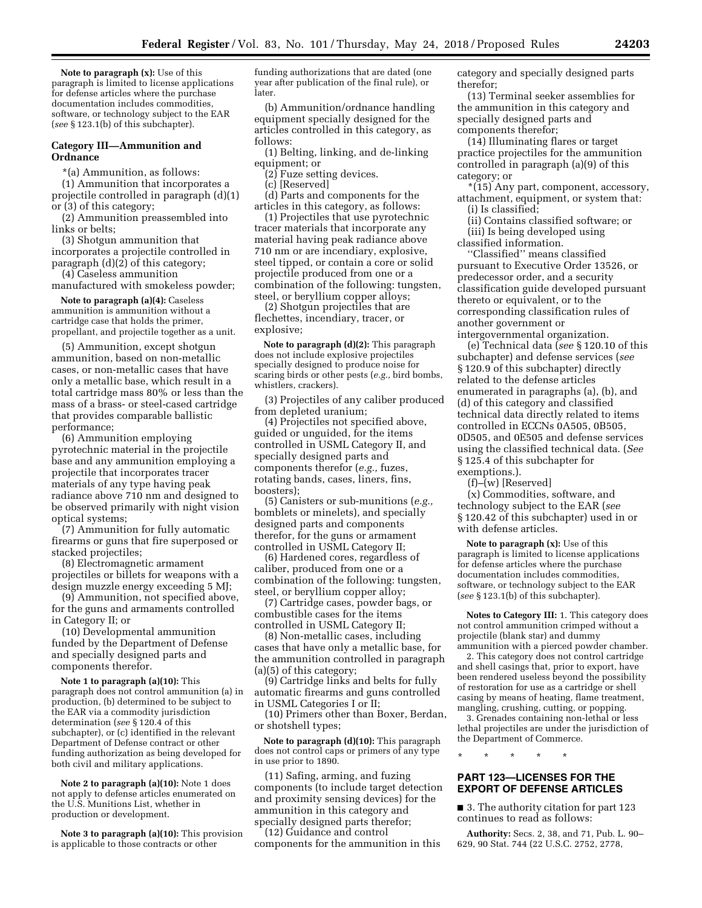**Note to paragraph (x):** Use of this paragraph is limited to license applications for defense articles where the purchase documentation includes commodities, software, or technology subject to the EAR (*see* § 123.1(b) of this subchapter).

### **Category III—Ammunition and Ordnance**

\*(a) Ammunition, as follows: (1) Ammunition that incorporates a projectile controlled in paragraph (d)(1) or (3) of this category;

(2) Ammunition preassembled into links or belts;

(3) Shotgun ammunition that incorporates a projectile controlled in paragraph (d)(2) of this category;

(4) Caseless ammunition manufactured with smokeless powder;

**Note to paragraph (a)(4):** Caseless ammunition is ammunition without a cartridge case that holds the primer, propellant, and projectile together as a unit.

(5) Ammunition, except shotgun ammunition, based on non-metallic cases, or non-metallic cases that have only a metallic base, which result in a total cartridge mass 80% or less than the mass of a brass- or steel-cased cartridge that provides comparable ballistic performance;

(6) Ammunition employing pyrotechnic material in the projectile base and any ammunition employing a projectile that incorporates tracer materials of any type having peak radiance above 710 nm and designed to be observed primarily with night vision optical systems;

(7) Ammunition for fully automatic firearms or guns that fire superposed or stacked projectiles;

(8) Electromagnetic armament projectiles or billets for weapons with a design muzzle energy exceeding 5 MJ;

(9) Ammunition, not specified above, for the guns and armaments controlled in Category II; or

(10) Developmental ammunition funded by the Department of Defense and specially designed parts and components therefor.

**Note 1 to paragraph (a)(10):** This paragraph does not control ammunition (a) in production, (b) determined to be subject to the EAR via a commodity jurisdiction determination (*see* § 120.4 of this subchapter), or (c) identified in the relevant Department of Defense contract or other funding authorization as being developed for both civil and military applications.

**Note 2 to paragraph (a)(10):** Note 1 does not apply to defense articles enumerated on the U.S. Munitions List, whether in production or development.

**Note 3 to paragraph (a)(10):** This provision is applicable to those contracts or other

funding authorizations that are dated (one year after publication of the final rule), or later.

(b) Ammunition/ordnance handling equipment specially designed for the articles controlled in this category, as follows:

(1) Belting, linking, and de-linking equipment; or

(2) Fuze setting devices.

(c) [Reserved]

(d) Parts and components for the articles in this category, as follows:

(1) Projectiles that use pyrotechnic tracer materials that incorporate any material having peak radiance above 710 nm or are incendiary, explosive, steel tipped, or contain a core or solid projectile produced from one or a combination of the following: tungsten, steel, or beryllium copper alloys;

(2) Shotgun projectiles that are flechettes, incendiary, tracer, or explosive;

**Note to paragraph (d)(2):** This paragraph does not include explosive projectiles specially designed to produce noise for scaring birds or other pests (*e.g.,* bird bombs, whistlers, crackers).

(3) Projectiles of any caliber produced from depleted uranium;

(4) Projectiles not specified above, guided or unguided, for the items controlled in USML Category II, and specially designed parts and components therefor (*e.g.,* fuzes, rotating bands, cases, liners, fins, boosters);

(5) Canisters or sub-munitions (*e.g.,*  bomblets or minelets), and specially designed parts and components therefor, for the guns or armament controlled in USML Category II;

(6) Hardened cores, regardless of caliber, produced from one or a combination of the following: tungsten, steel, or beryllium copper alloy;

(7) Cartridge cases, powder bags, or combustible cases for the items controlled in USML Category II;

(8) Non-metallic cases, including cases that have only a metallic base, for the ammunition controlled in paragraph (a)(5) of this category;

(9) Cartridge links and belts for fully automatic firearms and guns controlled in USML Categories I or II;

(10) Primers other than Boxer, Berdan, or shotshell types;

**Note to paragraph (d)(10):** This paragraph does not control caps or primers of any type in use prior to 1890.

(11) Safing, arming, and fuzing components (to include target detection and proximity sensing devices) for the ammunition in this category and specially designed parts therefor;

(12) Guidance and control components for the ammunition in this category and specially designed parts therefor;

(13) Terminal seeker assemblies for the ammunition in this category and specially designed parts and components therefor;

(14) Illuminating flares or target practice projectiles for the ammunition controlled in paragraph (a)(9) of this category; or

\*(15) Any part, component, accessory, attachment, equipment, or system that:

(i) Is classified;

(ii) Contains classified software; or

(iii) Is being developed using classified information.

''Classified'' means classified pursuant to Executive Order 13526, or predecessor order, and a security classification guide developed pursuant thereto or equivalent, or to the corresponding classification rules of another government or intergovernmental organization.

(e) Technical data (*see* § 120.10 of this subchapter) and defense services (*see*  § 120.9 of this subchapter) directly related to the defense articles enumerated in paragraphs (a), (b), and (d) of this category and classified technical data directly related to items controlled in ECCNs 0A505, 0B505, 0D505, and 0E505 and defense services using the classified technical data. (*See*  § 125.4 of this subchapter for exemptions.).

(f)–(w) [Reserved]

(x) Commodities, software, and technology subject to the EAR (*see*  § 120.42 of this subchapter) used in or with defense articles.

**Note to paragraph (x):** Use of this paragraph is limited to license applications for defense articles where the purchase documentation includes commodities, software, or technology subject to the EAR (*see* § 123.1(b) of this subchapter).

**Notes to Category III:** 1. This category does not control ammunition crimped without a projectile (blank star) and dummy ammunition with a pierced powder chamber.

2. This category does not control cartridge and shell casings that, prior to export, have been rendered useless beyond the possibility of restoration for use as a cartridge or shell casing by means of heating, flame treatment, mangling, crushing, cutting, or popping.

3. Grenades containing non-lethal or less lethal projectiles are under the jurisdiction of the Department of Commerce.

\* \* \* \* \*

# **PART 123—LICENSES FOR THE EXPORT OF DEFENSE ARTICLES**

■ 3. The authority citation for part 123 continues to read as follows:

**Authority:** Secs. 2, 38, and 71, Pub. L. 90– 629, 90 Stat. 744 (22 U.S.C. 2752, 2778,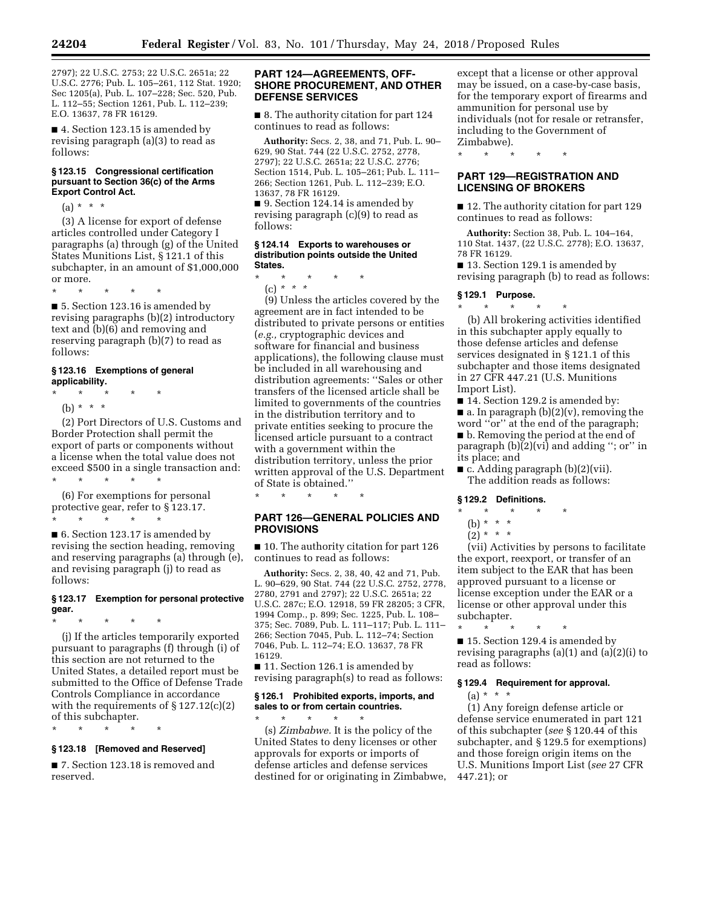2797); 22 U.S.C. 2753; 22 U.S.C. 2651a; 22 U.S.C. 2776; Pub. L. 105–261, 112 Stat. 1920; Sec 1205(a), Pub. L. 107–228; Sec. 520, Pub. L. 112–55; Section 1261, Pub. L. 112–239; E.O. 13637, 78 FR 16129.

■ 4. Section 123.15 is amended by revising paragraph (a)(3) to read as follows:

#### **§ 123.15 Congressional certification pursuant to Section 36(c) of the Arms Export Control Act.**

 $(a) * * * *$ 

(3) A license for export of defense articles controlled under Category I paragraphs (a) through (g) of the United States Munitions List, § 121.1 of this subchapter, in an amount of \$1,000,000 or more.

\* \* \* \* \*

■ 5. Section 123.16 is amended by revising paragraphs (b)(2) introductory text and (b)(6) and removing and reserving paragraph (b)(7) to read as follows:

#### **§ 123.16 Exemptions of general applicability.**

\* \* \* \* \*

(b) \* \* \*

(2) Port Directors of U.S. Customs and Border Protection shall permit the export of parts or components without a license when the total value does not exceed \$500 in a single transaction and:

\* \* \* \* \* (6) For exemptions for personal protective gear, refer to § 123.17. \* \* \* \* \*

■ 6. Section 123.17 is amended by revising the section heading, removing and reserving paragraphs (a) through (e), and revising paragraph (j) to read as follows:

# **§ 123.17 Exemption for personal protective gear.**

\* \* \* \* \*

(j) If the articles temporarily exported pursuant to paragraphs (f) through (i) of this section are not returned to the United States, a detailed report must be submitted to the Office of Defense Trade Controls Compliance in accordance with the requirements of  $\S 127.12(c)(2)$ of this subchapter.

\* \* \* \* \*

### **§ 123.18 [Removed and Reserved]**

■ 7. Section 123.18 is removed and reserved.

### **PART 124—AGREEMENTS, OFF-SHORE PROCUREMENT, AND OTHER DEFENSE SERVICES**

■ 8. The authority citation for part 124 continues to read as follows:

**Authority:** Secs. 2, 38, and 71, Pub. L. 90– 629, 90 Stat. 744 (22 U.S.C. 2752, 2778, 2797); 22 U.S.C. 2651a; 22 U.S.C. 2776; Section 1514, Pub. L. 105–261; Pub. L. 111– 266; Section 1261, Pub. L. 112–239; E.O. 13637, 78 FR 16129.

■ 9. Section 124.14 is amended by revising paragraph (c)(9) to read as follows:

#### **§ 124.14 Exports to warehouses or distribution points outside the United States.**

\* \* \* \* \* (c) *\* \* \** 

(9) Unless the articles covered by the agreement are in fact intended to be distributed to private persons or entities (*e.g.,* cryptographic devices and software for financial and business applications), the following clause must be included in all warehousing and distribution agreements: ''Sales or other transfers of the licensed article shall be limited to governments of the countries in the distribution territory and to private entities seeking to procure the licensed article pursuant to a contract with a government within the distribution territory, unless the prior written approval of the U.S. Department of State is obtained.''

**PART 126—GENERAL POLICIES AND PROVISIONS** 

\* \* \* \* \*

■ 10. The authority citation for part 126 continues to read as follows:

**Authority:** Secs. 2, 38, 40, 42 and 71, Pub. L. 90–629, 90 Stat. 744 (22 U.S.C. 2752, 2778, 2780, 2791 and 2797); 22 U.S.C. 2651a; 22 U.S.C. 287c; E.O. 12918, 59 FR 28205; 3 CFR, 1994 Comp., p. 899; Sec. 1225, Pub. L. 108– 375; Sec. 7089, Pub. L. 111–117; Pub. L. 111– 266; Section 7045, Pub. L. 112–74; Section 7046, Pub. L. 112–74; E.O. 13637, 78 FR 16129.

■ 11. Section 126.1 is amended by revising paragraph(s) to read as follows:

### **§ 126.1 Prohibited exports, imports, and sales to or from certain countries.**

\* \* \* \* \* (s) *Zimbabwe.* It is the policy of the United States to deny licenses or other approvals for exports or imports of defense articles and defense services destined for or originating in Zimbabwe,

except that a license or other approval may be issued, on a case-by-case basis, for the temporary export of firearms and ammunition for personal use by individuals (not for resale or retransfer, including to the Government of Zimbabwe).

\* \* \* \* \*

# **PART 129—REGISTRATION AND LICENSING OF BROKERS**

■ 12. The authority citation for part 129 continues to read as follows:

**Authority:** Section 38, Pub. L. 104–164, 110 Stat. 1437, (22 U.S.C. 2778); E.O. 13637, 78 FR 16129.

■ 13. Section 129.1 is amended by revising paragraph (b) to read as follows:

### **§ 129.1 Purpose.**

\* \* \* \* \* (b) All brokering activities identified in this subchapter apply equally to those defense articles and defense services designated in § 121.1 of this subchapter and those items designated in 27 CFR 447.21 (U.S. Munitions Import List).

■ 14. Section 129.2 is amended by:  $\blacksquare$  a. In paragraph (b)(2)(v), removing the word ''or'' at the end of the paragraph; ■ b. Removing the period at the end of paragraph (b)(2)(vi) and adding ''; or'' in its place; and

■ c. Adding paragraph (b)(2)(vii). The addition reads as follows:

#### **§ 129.2 Definitions.**

# \* \* \* \* \*

- (b) \* \* \*
- $(2) * * * *$

(vii) Activities by persons to facilitate the export, reexport, or transfer of an item subject to the EAR that has been approved pursuant to a license or license exception under the EAR or a license or other approval under this subchapter.

\* \* \* \* \* ■ 15. Section 129.4 is amended by revising paragraphs (a)(1) and (a)(2)(i) to read as follows:

### **§ 129.4 Requirement for approval.**

 $(a) * * * *$ 

(1) Any foreign defense article or defense service enumerated in part 121 of this subchapter (*see* § 120.44 of this subchapter, and § 129.5 for exemptions) and those foreign origin items on the U.S. Munitions Import List (*see* 27 CFR 447.21); or